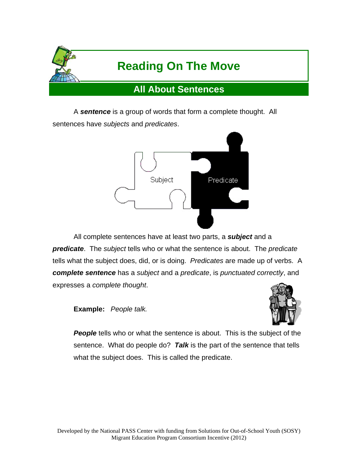

 A *sentence* is a group of words that form a complete thought. All sentences have *subjects* and *predicates*.



 All complete sentences have at least two parts, a *subject* and a *predicate*. The *subject* tells who or what the sentence is about. The *predicate* tells what the subject does, did, or is doing. *Predicates* are made up of verbs. A *complete sentence* has a *subject* and a *predicate*, is *punctuated correctly*, and expresses a *complete thought*.

**Example:** *People talk.*



**People** tells who or what the sentence is about. This is the subject of the sentence. What do people do? *Talk* is the part of the sentence that tells what the subject does. This is called the predicate.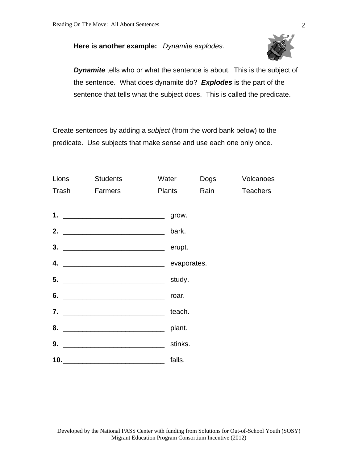# **Here is another example:** *Dynamite explodes.*



**Dynamite** tells who or what the sentence is about. This is the subject of the sentence. What does dynamite do? *Explodes* is the part of the sentence that tells what the subject does. This is called the predicate.

Create sentences by adding a *subject* (from the word bank below) to the predicate. Use subjects that make sense and use each one only once.

| Lions | Students      | Water         | Dogs | Volcanoes       |
|-------|---------------|---------------|------|-----------------|
|       | Trash Farmers | <b>Plants</b> | Rain | <b>Teachers</b> |
|       |               |               |      |                 |
|       |               | grow.         |      |                 |
|       |               | bark.         |      |                 |
|       |               | erupt.        |      |                 |
|       |               |               |      |                 |
|       |               | study.        |      |                 |
|       |               | roar.         |      |                 |
|       |               | teach.        |      |                 |
| 8.    |               | plant.        |      |                 |
|       |               | stinks.       |      |                 |
|       |               | falls.        |      |                 |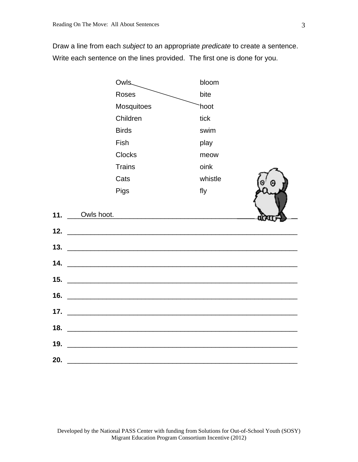Draw a line from each *subject* to an appropriate *predicate* to create a sentence. Write each sentence on the lines provided. The first one is done for you.

| <b>Owls</b>                                                                                                                  | bloom   |  |
|------------------------------------------------------------------------------------------------------------------------------|---------|--|
| <b>Roses</b>                                                                                                                 | bite    |  |
| Mosquitoes                                                                                                                   | hoot    |  |
| Children                                                                                                                     | tick    |  |
| <b>Birds</b>                                                                                                                 | swim    |  |
| Fish                                                                                                                         | play    |  |
| <b>Clocks</b>                                                                                                                | meow    |  |
| <b>Trains</b>                                                                                                                | oink    |  |
| Cats                                                                                                                         | whistle |  |
| Pigs                                                                                                                         | fly     |  |
| Owls hoot.                                                                                                                   |         |  |
| <u> 2000 - 2000 - 2000 - 2000 - 2000 - 2000 - 2000 - 2000 - 2000 - 2000 - 2000 - 2000 - 2000 - 2000 - 2000 - 200</u>         |         |  |
|                                                                                                                              |         |  |
|                                                                                                                              |         |  |
|                                                                                                                              |         |  |
| <u> 1989 - Johann John Stone, markin sanadi a shekara ta 1989 - An tsara tsara tsara tsara tsara tsara tsara tsa</u>         |         |  |
|                                                                                                                              |         |  |
| <u> 1989 - Jan Barat, margaret amerikan bahasa dalam bahasa dalam bahasa dalam bahasa dalam bahasa dalam bahasa d</u>        |         |  |
| <u> 1980 - Johann Stoff, amerikan bestein bestein der dem Stoffens aus der Stoffens aus der Stoffens aus der Stoffens an</u> |         |  |
| <u> 1990 - Jan James James James James James James James James James James James James James James James James J</u>         |         |  |
|                                                                                                                              |         |  |
|                                                                                                                              |         |  |
| <u> 1989 - Jan Barat, martin da basar a shekara tsara tsara tsara tsara tsara tsara tsara tsara tsara tsara tsar</u>         |         |  |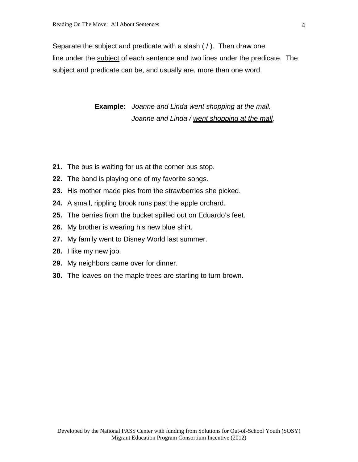Separate the subject and predicate with a slash ( / ). Then draw one line under the subject of each sentence and two lines under the predicate. The subject and predicate can be, and usually are, more than one word.

> **Example:** *Joanne and Linda went shopping at the mall. Joanne and Linda / went shopping at the mall.*

- **21.** The bus is waiting for us at the corner bus stop.
- **22.** The band is playing one of my favorite songs.
- **23.** His mother made pies from the strawberries she picked.
- **24.** A small, rippling brook runs past the apple orchard.
- **25.** The berries from the bucket spilled out on Eduardo's feet.
- **26.** My brother is wearing his new blue shirt.
- **27.** My family went to Disney World last summer.
- **28.** I like my new job.
- **29.** My neighbors came over for dinner.
- **30.** The leaves on the maple trees are starting to turn brown.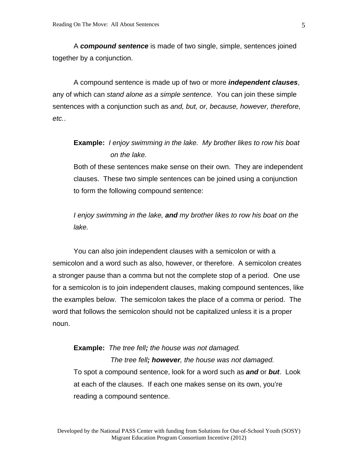A *compound sentence* is made of two single, simple, sentences joined together by a conjunction.

 A compound sentence is made up of two or more *independent clauses*, any of which can *stand alone as a simple sentence*. You can join these simple sentences with a conjunction such as *and, but, or, because, however, therefore, etc.*.

**Example:** *I enjoy swimming in the lake. My brother likes to row his boat on the lake.* 

Both of these sentences make sense on their own. They are independent clauses. These two simple sentences can be joined using a conjunction to form the following compound sentence:

*I enjoy swimming in the lake, and my brother likes to row his boat on the lake.* 

 You can also join independent clauses with a semicolon or with a semicolon and a word such as also, however, or therefore. A semicolon creates a stronger pause than a comma but not the complete stop of a period. One use for a semicolon is to join independent clauses, making compound sentences, like the examples below. The semicolon takes the place of a comma or period. The word that follows the semicolon should not be capitalized unless it is a proper noun.

**Example:** *The tree fell; the house was not damaged. The tree fell; however, the house was not damaged.*  To spot a compound sentence, look for a word such as *and* or *but*. Look at each of the clauses. If each one makes sense on its own, you're reading a compound sentence.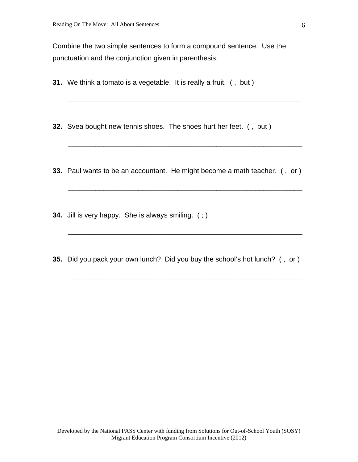Combine the two simple sentences to form a compound sentence. Use the punctuation and the conjunction given in parenthesis.

- **31.** We think a tomato is a vegetable. It is really a fruit. ( , but )
- **32.** Svea bought new tennis shoes. The shoes hurt her feet. ( , but )
- **33.** Paul wants to be an accountant. He might become a math teacher. ( , or )

\_\_\_\_\_\_\_\_\_\_\_\_\_\_\_\_\_\_\_\_\_\_\_\_\_\_\_\_\_\_\_\_\_\_\_\_\_\_\_\_\_\_\_\_\_\_\_\_\_\_\_\_\_\_\_\_\_\_\_\_

\_\_\_\_\_\_\_\_\_\_\_\_\_\_\_\_\_\_\_\_\_\_\_\_\_\_\_\_\_\_\_\_\_\_\_\_\_\_\_\_\_\_\_\_\_\_\_\_\_\_\_\_\_\_\_\_\_\_\_\_

\_\_\_\_\_\_\_\_\_\_\_\_\_\_\_\_\_\_\_\_\_\_\_\_\_\_\_\_\_\_\_\_\_\_\_\_\_\_\_\_\_\_\_\_\_\_\_\_\_\_\_\_\_\_\_\_\_\_\_\_

\_\_\_\_\_\_\_\_\_\_\_\_\_\_\_\_\_\_\_\_\_\_\_\_\_\_\_\_\_\_\_\_\_\_\_\_\_\_\_\_\_\_\_\_\_\_\_\_\_\_\_\_\_\_\_\_\_\_\_\_

\_\_\_\_\_\_\_\_\_\_\_\_\_\_\_\_\_\_\_\_\_\_\_\_\_\_\_\_\_\_\_\_\_\_\_\_\_\_\_\_\_\_\_\_\_\_\_\_\_\_\_\_\_\_\_\_\_\_\_\_

- **34.** Jill is very happy. She is always smiling. ( ; )
- **35.** Did you pack your own lunch? Did you buy the school's hot lunch? ( , or )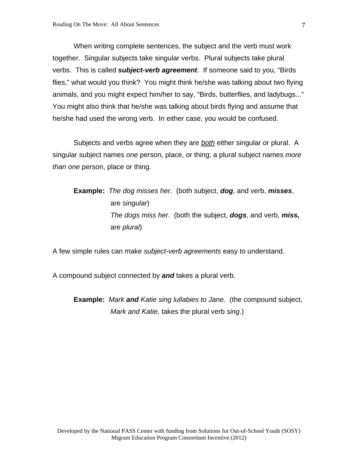When writing complete sentences, the subject and the verb must work together. Singular subjects take singular verbs. Plural subjects take plural verbs. This is called *subject-verb agreement*.If someone said to you, "Birds flies," what would you think? You might think he/she was talking about two flying animals, and you might expect him/her to say, "Birds, butterflies, and ladybugs..." You might also think that he/she was talking about birds flying and assume that he/she had used the wrong verb. In either case, you would be confused.

 Subjects and verbs agree when they are *both* either singular or plural. A singular subject names *one* person, place, or thing; a plural subject names *more than one* person, place or thing.

# **Example:** *The dog misses her.* (both subject, *dog*, and verb, *misses*, are *singular*) *The dogs miss her.* (both the subject, *dogs*, and verb, *miss,* are *plural*)

A few simple rules can make *subject-verb agreements* easy to understand.

A compound subject connected by *and* takes a plural verb.

**Example:** *Mark and Katie sing lullabies to Jane.* (the compound subject, *Mark and Katie,* takes the plural verb *sing*.)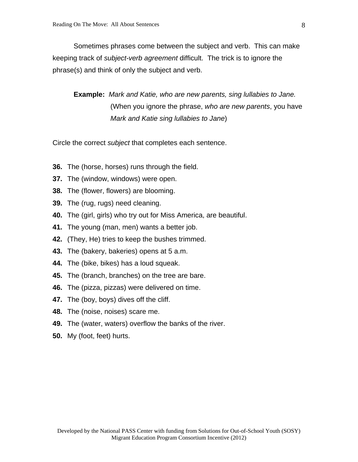Sometimes phrases come between the subject and verb. This can make keeping track of *subject-verb agreement* difficult. The trick is to ignore the phrase(s) and think of only the subject and verb.

**Example:** *Mark and Katie, who are new parents, sing lullabies to Jane.* (When you ignore the phrase, *who are new parents*, you have *Mark and Katie sing lullabies to Jane*)

Circle the correct *subject* that completes each sentence.

- **36.** The (horse, horses) runs through the field.
- **37.** The (window, windows) were open.
- **38.** The (flower, flowers) are blooming.
- **39.** The (rug, rugs) need cleaning.
- **40.** The (girl, girls) who try out for Miss America, are beautiful.
- **41.** The young (man, men) wants a better job.
- **42.** (They, He) tries to keep the bushes trimmed.
- **43.** The (bakery, bakeries) opens at 5 a.m.
- **44.** The (bike, bikes) has a loud squeak.
- **45.** The (branch, branches) on the tree are bare.
- **46.** The (pizza, pizzas) were delivered on time.
- **47.** The (boy, boys) dives off the cliff.
- **48.** The (noise, noises) scare me.
- **49.** The (water, waters) overflow the banks of the river.
- **50.** My (foot, feet) hurts.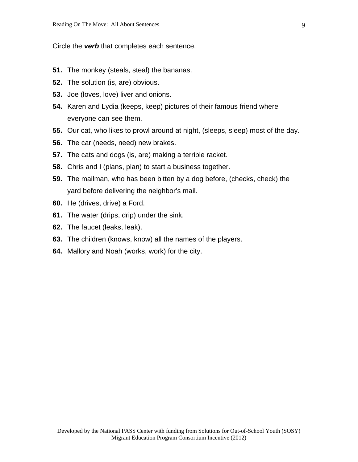Circle the *verb* that completes each sentence.

- **51.** The monkey (steals, steal) the bananas.
- **52.** The solution (is, are) obvious.
- **53.** Joe (loves, love) liver and onions.
- **54.** Karen and Lydia (keeps, keep) pictures of their famous friend where everyone can see them.
- **55.** Our cat, who likes to prowl around at night, (sleeps, sleep) most of the day.
- **56.** The car (needs, need) new brakes.
- **57.** The cats and dogs (is, are) making a terrible racket.
- **58.** Chris and I (plans, plan) to start a business together.
- **59.** The mailman, who has been bitten by a dog before, (checks, check) the yard before delivering the neighbor's mail.
- **60.** He (drives, drive) a Ford.
- **61.** The water (drips, drip) under the sink.
- **62.** The faucet (leaks, leak).
- **63.** The children (knows, know) all the names of the players.
- **64.** Mallory and Noah (works, work) for the city.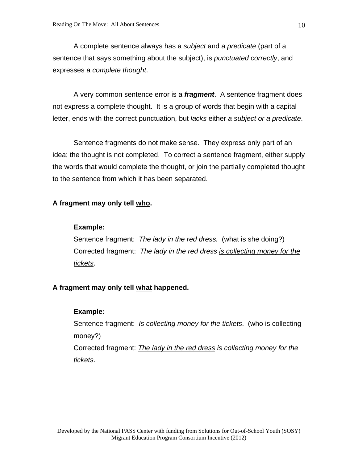A complete sentence always has a *subject* and a *predicate* (part of a sentence that says something about the subject), is *punctuated correctly*, and expresses a *complete thought*.

 A very common sentence error is a *fragment*. A sentence fragment does not express a complete thought. It is a group of words that begin with a capital letter, ends with the correct punctuation, but *lacks* either *a subject or a predicate*.

 Sentence fragments do not make sense. They express only part of an idea; the thought is not completed. To correct a sentence fragment, either supply the words that would complete the thought, or join the partially completed thought to the sentence from which it has been separated.

#### **A fragment may only tell who.**

#### **Example:**

Sentence fragment: *The lady in the red dress.* (what is she doing?) Corrected fragment: *The lady in the red dress is collecting money for the tickets*.

#### **A fragment may only tell what happened.**

#### **Example:**

Sentence fragment: *Is collecting money for the tickets*. (who is collecting money?)

Corrected fragment: *The lady in the red dress is collecting money for the tickets*.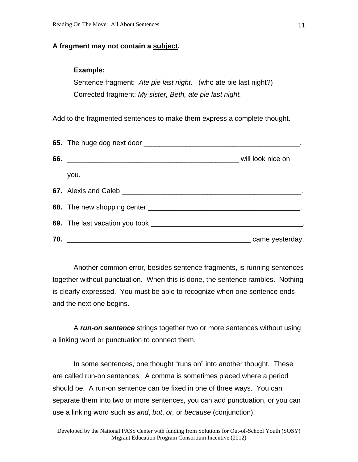#### **A fragment may not contain a subject.**

#### **Example:**

Sentence fragment: *Ate pie last night*. (who ate pie last night?) Corrected fragment: *My sister, Beth, ate pie last night.*

Add to the fragmented sentences to make them express a complete thought.

|     | you.                                                                                                                 |                 |
|-----|----------------------------------------------------------------------------------------------------------------------|-----------------|
|     |                                                                                                                      |                 |
|     |                                                                                                                      |                 |
|     |                                                                                                                      |                 |
| 70. | <u> 2000 - Jan James James James James James James James James James James James James James James James James J</u> | came yesterday. |

 Another common error, besides sentence fragments, is running sentences together without punctuation. When this is done, the sentence rambles. Nothing is clearly expressed. You must be able to recognize when one sentence ends and the next one begins.

 A *run-on sentence* strings together two or more sentences without using a linking word or punctuation to connect them.

 In some sentences, one thought "runs on" into another thought. These are called run-on sentences. A comma is sometimes placed where a period should be. A run-on sentence can be fixed in one of three ways. You can separate them into two or more sentences, you can add punctuation, or you can use a linking word such as *and*, *but*, *or,* or *because* (conjunction).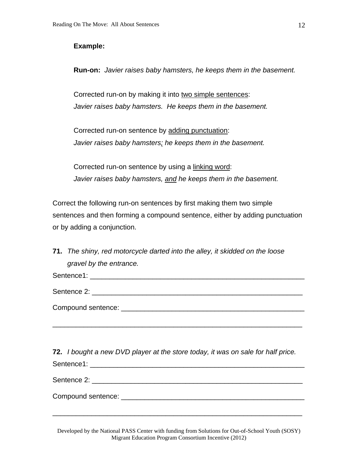#### **Example:**

**Run-on:** *Javier raises baby hamsters, he keeps them in the basement.* 

Corrected run-on by making it into two simple sentences: *Javier raises baby hamsters. He keeps them in the basement.* 

Corrected run-on sentence by adding punctuation: *Javier raises baby hamsters; he keeps them in the basement.* 

Corrected run-on sentence by using a linking word: *Javier raises baby hamsters, and he keeps them in the basement.* 

Correct the following run-on sentences by first making them two simple sentences and then forming a compound sentence, either by adding punctuation or by adding a conjunction.

**71.** *The shiny, red motorcycle darted into the alley, it skidded on the loose gravel by the entrance.* 

Sentence1: **Example 2018** 

Sentence 2: **Example 2:**  $\sim$  2007  $\sim$  2007  $\sim$  2007  $\sim$  2007  $\sim$  2007  $\sim$  2007  $\sim$  2007  $\sim$  2007  $\sim$  2007  $\sim$  2007  $\sim$  2007  $\sim$  2007  $\sim$  2007  $\sim$  2007  $\sim$  2007  $\sim$  2007  $\sim$  2007  $\sim$  2007  $\sim$  2007  $\sim$  20

Compound sentence: \_\_\_\_\_\_\_\_\_\_\_\_\_\_\_\_\_\_\_\_\_\_\_\_\_\_\_\_\_\_\_\_\_\_\_\_\_\_\_\_\_\_\_\_\_\_\_

**72.** *I bought a new DVD player at the store today, it was on sale for half price.*  Sentence1: \_\_\_\_\_\_\_\_\_\_\_\_\_\_\_\_\_\_\_\_\_\_\_\_\_\_\_\_\_\_\_\_\_\_\_\_\_\_\_\_\_\_\_\_\_\_\_\_\_\_\_\_\_\_\_

\_\_\_\_\_\_\_\_\_\_\_\_\_\_\_\_\_\_\_\_\_\_\_\_\_\_\_\_\_\_\_\_\_\_\_\_\_\_\_\_\_\_\_\_\_\_\_\_\_\_\_\_\_\_\_\_\_\_\_\_\_\_\_\_

Sentence 2: \_\_\_\_\_\_\_\_\_\_\_\_\_\_\_\_\_\_\_\_\_\_\_\_\_\_\_\_\_\_\_\_\_\_\_\_\_\_\_\_\_\_\_\_\_\_\_\_\_\_\_\_\_\_

Compound sentence: \_\_\_\_\_\_\_\_\_\_\_\_\_\_\_\_\_\_\_\_\_\_\_\_\_\_\_\_\_\_\_\_\_\_\_\_\_\_\_\_\_\_\_\_\_\_\_

Developed by the National PASS Center with funding from Solutions for Out-of-School Youth (SOSY) Migrant Education Program Consortium Incentive (2012)

\_\_\_\_\_\_\_\_\_\_\_\_\_\_\_\_\_\_\_\_\_\_\_\_\_\_\_\_\_\_\_\_\_\_\_\_\_\_\_\_\_\_\_\_\_\_\_\_\_\_\_\_\_\_\_\_\_\_\_\_\_\_\_\_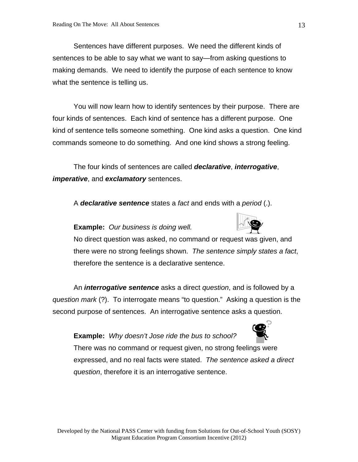Sentences have different purposes. We need the different kinds of sentences to be able to say what we want to say—from asking questions to making demands. We need to identify the purpose of each sentence to know what the sentence is telling us.

 You will now learn how to identify sentences by their purpose. There are four kinds of sentences. Each kind of sentence has a different purpose. One kind of sentence tells someone something. One kind asks a question. One kind commands someone to do something. And one kind shows a strong feeling.

 The four kinds of sentences are called *declarative*, *interrogative*, *imperative*, and *exclamatory* sentences.

A *declarative sentence* states a *fact* and ends with a *period* (.).

# **Example:** *Our business is doing well.*

No direct question was asked, no command or request was given, and there were no strong feelings shown. *The sentence simply states a fact*, therefore the sentence is a declarative sentence.

 An *interrogative sentence* asks a direct *question*, and is followed by a *question mark* (?). To interrogate means "to question." Asking a question is the second purpose of sentences. An interrogative sentence asks a question.

**Example:** *Why doesn't Jose ride the bus to school?*



There was no command or request given, no strong feelings were expressed, and no real facts were stated. *The sentence asked a direct question*, therefore it is an interrogative sentence.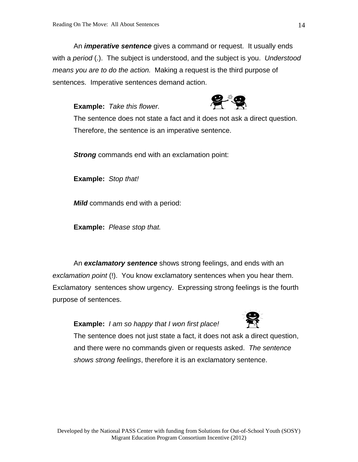An *imperative sentence* gives a command or request. It usually ends with a *period* (.). The subject is understood, and the subject is you. *Understood means you are to do the action.* Making a request is the third purpose of sentences. Imperative sentences demand action.

**Example:** *Take this flower.*



The sentence does not state a fact and it does not ask a direct question. Therefore, the sentence is an imperative sentence.

*Strong* commands end with an exclamation point:

**Example:** *Stop that!*

 *Mild* commands end with a period:

**Example:** *Please stop that.*

 An *exclamatory sentence* shows strong feelings, and ends with an *exclamation point* (!). You know exclamatory sentences when you hear them. Exclamatory sentences show urgency. Expressing strong feelings is the fourth purpose of sentences.

**Example:** *I am so happy that I won first place!* 



The sentence does not just state a fact, it does not ask a direct question, and there were no commands given or requests asked. *The sentence shows strong feelings*, therefore it is an exclamatory sentence.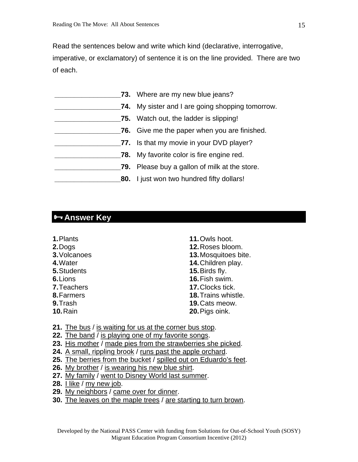Read the sentences below and write which kind (declarative, interrogative, imperative, or exclamatory) of sentence it is on the line provided. There are two of each.

|     | 73. Where are my new blue jeans?                    |
|-----|-----------------------------------------------------|
|     | 74. My sister and I are going shopping tomorrow.    |
|     | 75. Watch out, the ladder is slipping!              |
|     | <b>76.</b> Give me the paper when you are finished. |
|     | 77. Is that my movie in your DVD player?            |
|     | <b>78.</b> My favorite color is fire engine red.    |
| 79. | Please buy a gallon of milk at the store.           |
|     | <b>80.</b> I just won two hundred fifty dollars!    |

# **Answer Key**

- **1.** Plants
- **2.** Dogs
- **3.** Volcanoes
- **4.** Water
- **5.** Students
- **6.** Lions
- **7.** Teachers
- **8.** Farmers
- **9.** Trash
- **10.** Rain
- **11.** Owls hoot.
- **12.** Roses bloom.
- **13.** Mosquitoes bite.
- **14.** Children play.
- **15.** Birds fly.
- **16.** Fish swim.
- **17.** Clocks tick.
- **18.** Trains whistle.
- **19.** Cats meow.
- **20.** Pigs oink.
- **21.** The bus / is waiting for us at the corner bus stop.
- 22. The band / is playing one of my favorite songs.
- **23.** His mother / made pies from the strawberries she picked.
- **24.** A small, rippling brook / runs past the apple orchard.
- **25.** The berries from the bucket / spilled out on Eduardo's feet.
- **26.** My brother / is wearing his new blue shirt.
- **27.** My family / went to Disney World last summer.
- **28.** I like / my new job.
- **29.** My neighbors / came over for dinner.
- **30.** The leaves on the maple trees / are starting to turn brown.